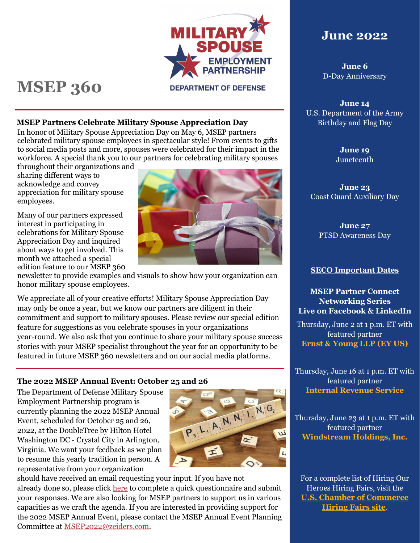

# **MSEP 360**

#### **DEPARTMENT OF DEFENSE**

#### **MSEP Partners Celebrate Military Spouse Appreciation Day**

In honor of Military Spouse Appreciation Day on May 6, MSEP partners celebrated military spouse employees in spectacular style! From events to gifts to social media posts and more, spouses were celebrated for their impact in the workforce. A special thank you to our partners for celebrating military spouses

throughout their organizations and sharing different ways to acknowledge and convey appreciation for military spouse employees.

Many of our partners expressed interest in participating in celebrations for Military Spouse Appreciation Day and inquired about ways to get involved. This month we attached a special edition feature to our MSEP 360



We appreciate all of your creative efforts! Military Spouse Appreciation Day may only be once a year, but we know our partners are diligent in their commitment and support to military spouses. Please review our special edition feature for suggestions as you celebrate spouses in your organizations year-round. We also ask that you continue to share your military spouse success stories with your MSEP specialist throughout the year for an opportunity to be featured in future MSEP 360 newsletters and on our social media platforms.

#### **The 2022 MSEP Annual Event: October 25 and 26**

The Department of Defense Military Spouse Employment Partnership program is currently planning the 2022 MSEP Annual Event, scheduled for October 25 and 26, 2022, at the DoubleTree by Hilton Hotel Washington DC - Crystal City in Arlington, Virginia. We want your feedback as we plan to resume this yearly tradition in person. A representative from your organization



should have received an email requesting your input. If you have not already done so, please click [here](https://zeiders.gov1.qualtrics.com/jfe/form/SV_0IJ4wYSRqipGM5M) to complete a quick questionnaire and submit your responses. We are also looking for MSEP partners to support us in various capacities as we craft the agenda. If you are interested in providing support for the 2022 MSEP Annual Event, please contact the MSEP Annual Event Planning Committee at [MSEP2022@zeiders.com.](mailto:MSEP2022@zeiders.com)

# **June 2022**

**June 6** D-Day Anniversary

**June 14** U.S. Department of the Army Birthday and Flag Day

> **June 19** Juneteenth

**June 23** Coast Guard Auxiliary Day

**June 27** PTSD Awareness Day

#### **SECO Important Dates**

**MSEP Partner Connect Networking Series Live on Facebook & LinkedIn**

Thursday, June 2 at 1 p.m. ET with featured partner **Ernst & Young LLP (EY US)**

Thursday, June 16 at 1 p.m. ET with featured partner **Internal Revenue Service**

Thursday, June 23 at 1 p.m. ET with featured partner **Windstream Holdings, Inc.**

For a complete list of Hiring Our Heroes Hiring Fairs, visit the **[U.S. Chamber of Commerce](https://www.uschamberfoundation.org/events/hiringfairs)  [Hiring Fairs site](https://www.uschamberfoundation.org/events/hiringfairs)**.

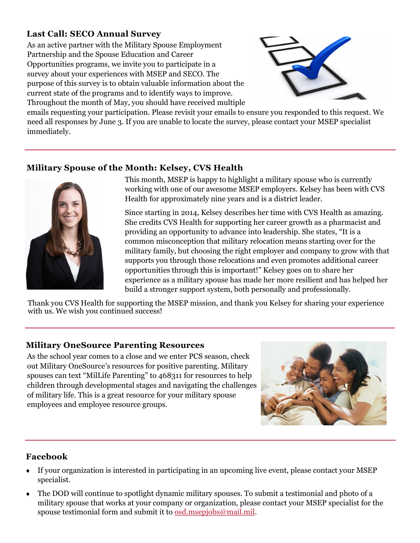# **Last Call: SECO Annual Survey**

As an active partner with the Military Spouse Employment Partnership and the Spouse Education and Career Opportunities programs, we invite you to participate in a survey about your experiences with MSEP and SECO. The purpose of this survey is to obtain valuable information about the current state of the programs and to identify ways to improve. Throughout the month of May, you should have received multiple



emails requesting your participation. Please revisit your emails to ensure you responded to this request. We need all responses by June 3. If you are unable to locate the survey, please contact your MSEP specialist immediately.

## **Military Spouse of the Month: Kelsey, CVS Health**



This month, MSEP is happy to highlight a military spouse who is currently working with one of our awesome MSEP employers. Kelsey has been with CVS Health for approximately nine years and is a district leader.

Since starting in 2014, Kelsey describes her time with CVS Health as amazing. She credits CVS Health for supporting her career growth as a pharmacist and providing an opportunity to advance into leadership. She states, "It is a common misconception that military relocation means starting over for the military family, but choosing the right employer and company to grow with that supports you through those relocations and even promotes additional career opportunities through this is important!" Kelsey goes on to share her experience as a military spouse has made her more resilient and has helped her build a stronger support system, both personally and professionally.

Thank you CVS Health for supporting the MSEP mission, and thank you Kelsey for sharing your experience with us. We wish you continued success!

#### **Military OneSource Parenting Resources**

As the school year comes to a close and we enter PCS season, check out Military OneSource's resources for positive parenting. Military spouses can text "MilLife Parenting" to 468311 for resources to help children through developmental stages and navigating the challenges of military life. This is a great resource for your military spouse employees and employee resource groups.



#### **Facebook**

- If your organization is interested in participating in an upcoming live event, please contact your MSEP specialist.
- The DOD will continue to spotlight dynamic military spouses. To submit a testimonial and photo of a military spouse that works at your company or organization, please contact your MSEP specialist for the spouse testimonial form and submit it to [osd.msepjobs@mail.mil.](mailto:osd.msepjobs@mail.mil)